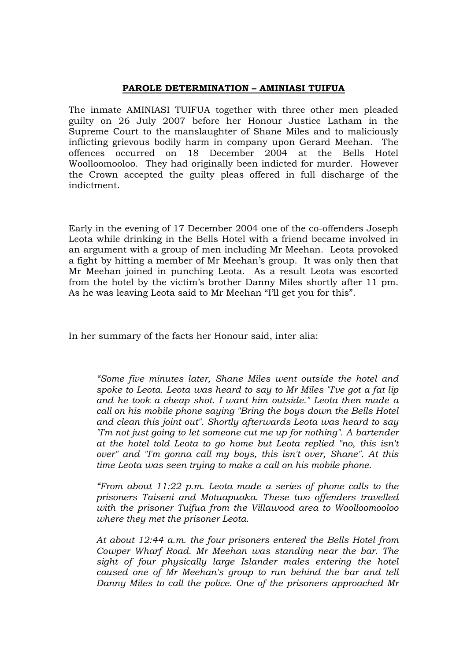## **PAROLE DETERMINATION – AMINIASI TUIFUA**

The inmate AMINIASI TUIFUA together with three other men pleaded guilty on 26 July 2007 before her Honour Justice Latham in the Supreme Court to the manslaughter of Shane Miles and to maliciously inflicting grievous bodily harm in company upon Gerard Meehan. The offences occurred on 18 December 2004 at the Bells Hotel Woolloomooloo. They had originally been indicted for murder. However the Crown accepted the guilty pleas offered in full discharge of the indictment.

Early in the evening of 17 December 2004 one of the co-offenders Joseph Leota while drinking in the Bells Hotel with a friend became involved in an argument with a group of men including Mr Meehan. Leota provoked a fight by hitting a member of Mr Meehan's group. It was only then that Mr Meehan joined in punching Leota. As a result Leota was escorted from the hotel by the victim's brother Danny Miles shortly after 11 pm. As he was leaving Leota said to Mr Meehan "I'll get you for this".

In her summary of the facts her Honour said, inter alia:

*"Some five minutes later, Shane Miles went outside the hotel and spoke to Leota. Leota was heard to say to Mr Miles "I've got a fat lip and he took a cheap shot. I want him outside." Leota then made a call on his mobile phone saying "Bring the boys down the Bells Hotel and clean this joint out". Shortly afterwards Leota was heard to say "I'm not just going to let someone cut me up for nothing". A bartender at the hotel told Leota to go home but Leota replied "no, this isn't over" and "I'm gonna call my boys, this isn't over, Shane". At this time Leota was seen trying to make a call on his mobile phone.* 

*"From about 11:22 p.m. Leota made a series of phone calls to the prisoners Taiseni and Motuapuaka. These two offenders travelled with the prisoner Tuifua from the Villawood area to Woolloomooloo where they met the prisoner Leota.* 

*At about 12:44 a.m. the four prisoners entered the Bells Hotel from Cowper Wharf Road. Mr Meehan was standing near the bar. The sight of four physically large Islander males entering the hotel caused one of Mr Meehan's group to run behind the bar and tell Danny Miles to call the police. One of the prisoners approached Mr*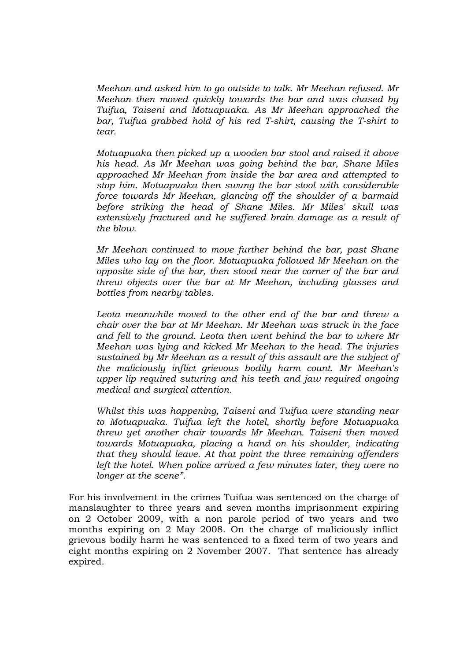*Meehan and asked him to go outside to talk. Mr Meehan refused. Mr Meehan then moved quickly towards the bar and was chased by Tuifua, Taiseni and Motuapuaka. As Mr Meehan approached the bar, Tuifua grabbed hold of his red T-shirt, causing the T-shirt to tear.* 

*Motuapuaka then picked up a wooden bar stool and raised it above his head. As Mr Meehan was going behind the bar, Shane Miles approached Mr Meehan from inside the bar area and attempted to stop him. Motuapuaka then swung the bar stool with considerable force towards Mr Meehan, glancing off the shoulder of a barmaid before striking the head of Shane Miles. Mr Miles' skull was extensively fractured and he suffered brain damage as a result of the blow.* 

*Mr Meehan continued to move further behind the bar, past Shane Miles who lay on the floor. Motuapuaka followed Mr Meehan on the opposite side of the bar, then stood near the corner of the bar and threw objects over the bar at Mr Meehan, including glasses and bottles from nearby tables.* 

*Leota meanwhile moved to the other end of the bar and threw a chair over the bar at Mr Meehan. Mr Meehan was struck in the face and fell to the ground. Leota then went behind the bar to where Mr Meehan was lying and kicked Mr Meehan to the head. The injuries sustained by Mr Meehan as a result of this assault are the subject of the maliciously inflict grievous bodily harm count. Mr Meehan's upper lip required suturing and his teeth and jaw required ongoing medical and surgical attention.* 

*Whilst this was happening, Taiseni and Tuifua were standing near to Motuapuaka. Tuifua left the hotel, shortly before Motuapuaka threw yet another chair towards Mr Meehan. Taiseni then moved towards Motuapuaka, placing a hand on his shoulder, indicating that they should leave. At that point the three remaining offenders left the hotel. When police arrived a few minutes later, they were no longer at the scene".* 

For his involvement in the crimes Tuifua was sentenced on the charge of manslaughter to three years and seven months imprisonment expiring on 2 October 2009, with a non parole period of two years and two months expiring on 2 May 2008. On the charge of maliciously inflict grievous bodily harm he was sentenced to a fixed term of two years and eight months expiring on 2 November 2007. That sentence has already expired.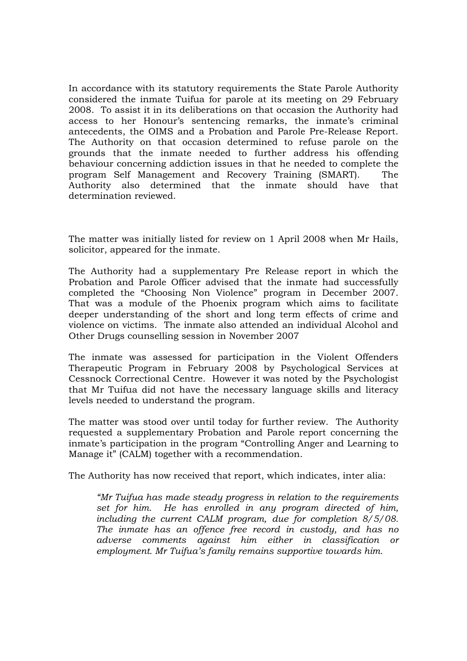In accordance with its statutory requirements the State Parole Authority considered the inmate Tuifua for parole at its meeting on 29 February 2008. To assist it in its deliberations on that occasion the Authority had access to her Honour's sentencing remarks, the inmate's criminal antecedents, the OIMS and a Probation and Parole Pre-Release Report. The Authority on that occasion determined to refuse parole on the grounds that the inmate needed to further address his offending behaviour concerning addiction issues in that he needed to complete the program Self Management and Recovery Training (SMART). The Authority also determined that the inmate should have that determination reviewed.

The matter was initially listed for review on 1 April 2008 when Mr Hails, solicitor, appeared for the inmate.

The Authority had a supplementary Pre Release report in which the Probation and Parole Officer advised that the inmate had successfully completed the "Choosing Non Violence" program in December 2007. That was a module of the Phoenix program which aims to facilitate deeper understanding of the short and long term effects of crime and violence on victims. The inmate also attended an individual Alcohol and Other Drugs counselling session in November 2007

The inmate was assessed for participation in the Violent Offenders Therapeutic Program in February 2008 by Psychological Services at Cessnock Correctional Centre. However it was noted by the Psychologist that Mr Tuifua did not have the necessary language skills and literacy levels needed to understand the program.

The matter was stood over until today for further review. The Authority requested a supplementary Probation and Parole report concerning the inmate's participation in the program "Controlling Anger and Learning to Manage it" (CALM) together with a recommendation.

The Authority has now received that report, which indicates, inter alia:

*"Mr Tuifua has made steady progress in relation to the requirements set for him. He has enrolled in any program directed of him, including the current CALM program, due for completion 8/5/08. The inmate has an offence free record in custody, and has no adverse comments against him either in classification or employment. Mr Tuifua's family remains supportive towards him.*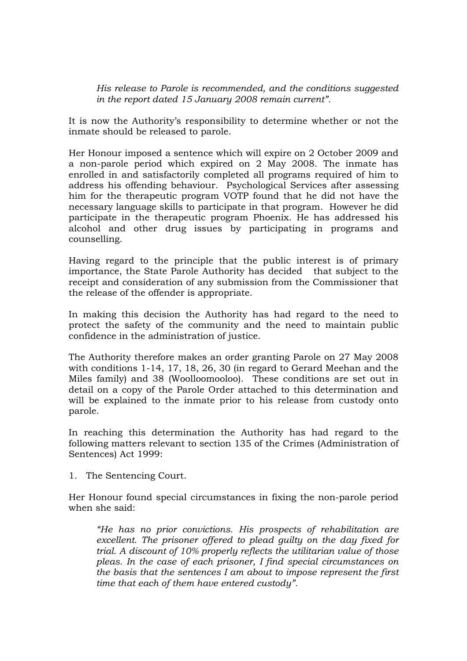*His release to Parole is recommended, and the conditions suggested in the report dated 15 January 2008 remain current".* 

It is now the Authority's responsibility to determine whether or not the inmate should be released to parole.

Her Honour imposed a sentence which will expire on 2 October 2009 and a non-parole period which expired on 2 May 2008. The inmate has enrolled in and satisfactorily completed all programs required of him to address his offending behaviour. Psychological Services after assessing him for the therapeutic program VOTP found that he did not have the necessary language skills to participate in that program. However he did participate in the therapeutic program Phoenix. He has addressed his alcohol and other drug issues by participating in programs and counselling.

Having regard to the principle that the public interest is of primary importance, the State Parole Authority has decided that subject to the receipt and consideration of any submission from the Commissioner that the release of the offender is appropriate.

In making this decision the Authority has had regard to the need to protect the safety of the community and the need to maintain public confidence in the administration of justice.

The Authority therefore makes an order granting Parole on 27 May 2008 with conditions 1-14, 17, 18, 26, 30 (in regard to Gerard Meehan and the Miles family) and 38 (Woolloomooloo). These conditions are set out in detail on a copy of the Parole Order attached to this determination and will be explained to the inmate prior to his release from custody onto parole.

In reaching this determination the Authority has had regard to the following matters relevant to section 135 of the Crimes (Administration of Sentences) Act 1999:

1. The Sentencing Court.

Her Honour found special circumstances in fixing the non-parole period when she said:

*"He has no prior convictions. His prospects of rehabilitation are excellent. The prisoner offered to plead guilty on the day fixed for trial. A discount of 10% properly reflects the utilitarian value of those pleas. In the case of each prisoner, I find special circumstances on the basis that the sentences I am about to impose represent the first time that each of them have entered custody".*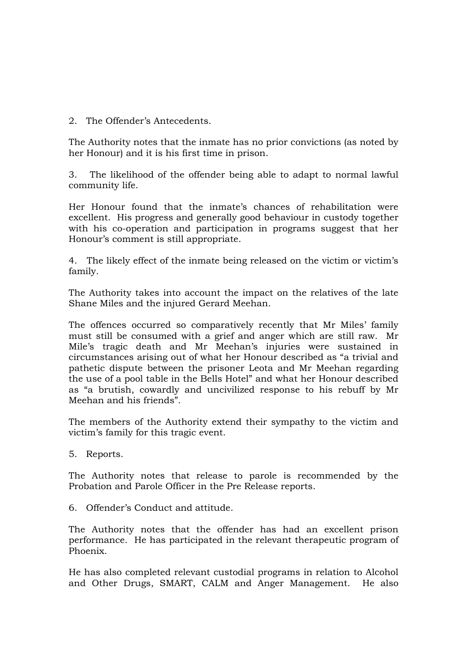2. The Offender's Antecedents.

The Authority notes that the inmate has no prior convictions (as noted by her Honour) and it is his first time in prison.

3. The likelihood of the offender being able to adapt to normal lawful community life.

Her Honour found that the inmate's chances of rehabilitation were excellent. His progress and generally good behaviour in custody together with his co-operation and participation in programs suggest that her Honour's comment is still appropriate.

4. The likely effect of the inmate being released on the victim or victim's family.

The Authority takes into account the impact on the relatives of the late Shane Miles and the injured Gerard Meehan.

The offences occurred so comparatively recently that Mr Miles' family must still be consumed with a grief and anger which are still raw. Mr Mile's tragic death and Mr Meehan's injuries were sustained in circumstances arising out of what her Honour described as "a trivial and pathetic dispute between the prisoner Leota and Mr Meehan regarding the use of a pool table in the Bells Hotel" and what her Honour described as "a brutish, cowardly and uncivilized response to his rebuff by Mr Meehan and his friends".

The members of the Authority extend their sympathy to the victim and victim's family for this tragic event.

5. Reports.

The Authority notes that release to parole is recommended by the Probation and Parole Officer in the Pre Release reports.

6. Offender's Conduct and attitude.

The Authority notes that the offender has had an excellent prison performance. He has participated in the relevant therapeutic program of Phoenix.

He has also completed relevant custodial programs in relation to Alcohol and Other Drugs, SMART, CALM and Anger Management. He also